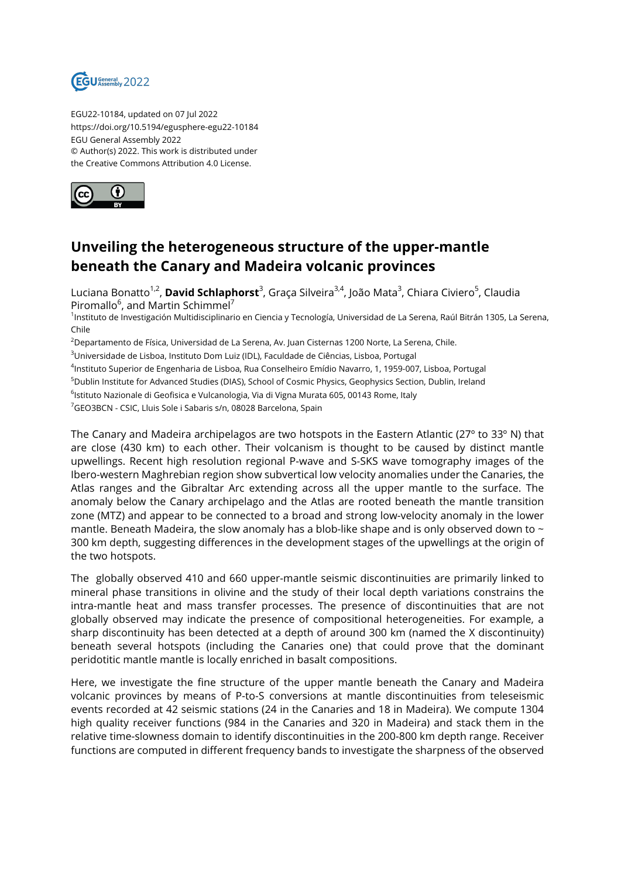

EGU22-10184, updated on 07 Jul 2022 https://doi.org/10.5194/egusphere-egu22-10184 EGU General Assembly 2022 © Author(s) 2022. This work is distributed under the Creative Commons Attribution 4.0 License.



## **Unveiling the heterogeneous structure of the upper-mantle beneath the Canary and Madeira volcanic provinces**

Luciana Bonatto<sup>1,2</sup>, **David Schlaphorst<sup>3</sup>,** Graça Silveira<sup>3,4</sup>, João Mata<sup>3</sup>, Chiara Civiero<sup>5</sup>, Claudia Piromallo<sup>6</sup>, and Martin Schimmel<sup>7</sup>

<sup>1</sup>Instituto de Investigación Multidisciplinario en Ciencia y Tecnología, Universidad de La Serena, Raúl Bitrán 1305, La Serena, Chile

 $2$ Departamento de Física, Universidad de La Serena, Av. Juan Cisternas 1200 Norte, La Serena, Chile.

<sup>3</sup>Universidade de Lisboa, Instituto Dom Luiz (IDL), Faculdade de Ciências, Lisboa, Portugal

4 Instituto Superior de Engenharia de Lisboa, Rua Conselheiro Emídio Navarro, 1, 1959-007, Lisboa, Portugal

<sup>5</sup>Dublin Institute for Advanced Studies (DIAS), School of Cosmic Physics, Geophysics Section, Dublin, Ireland

 $^{\rm 6}$ lstituto Nazionale di Geofisica e Vulcanologia, Via di Vigna Murata 605, 00143 Rome, Italy

<sup>7</sup>GEO3BCN - CSIC, Lluis Sole i Sabaris s/n, 08028 Barcelona, Spain

The Canary and Madeira archipelagos are two hotspots in the Eastern Atlantic (27º to 33º N) that are close (430 km) to each other. Their volcanism is thought to be caused by distinct mantle upwellings. Recent high resolution regional P-wave and S-SKS wave tomography images of the Ibero-western Maghrebian region show subvertical low velocity anomalies under the Canaries, the Atlas ranges and the Gibraltar Arc extending across all the upper mantle to the surface. The anomaly below the Canary archipelago and the Atlas are rooted beneath the mantle transition zone (MTZ) and appear to be connected to a broad and strong low-velocity anomaly in the lower mantle. Beneath Madeira, the slow anomaly has a blob-like shape and is only observed down to  $\sim$ 300 km depth, suggesting differences in the development stages of the upwellings at the origin of the two hotspots.

The globally observed 410 and 660 upper-mantle seismic discontinuities are primarily linked to mineral phase transitions in olivine and the study of their local depth variations constrains the intra-mantle heat and mass transfer processes. The presence of discontinuities that are not globally observed may indicate the presence of compositional heterogeneities. For example, a sharp discontinuity has been detected at a depth of around 300 km (named the X discontinuity) beneath several hotspots (including the Canaries one) that could prove that the dominant peridotitic mantle mantle is locally enriched in basalt compositions.

Here, we investigate the fine structure of the upper mantle beneath the Canary and Madeira volcanic provinces by means of P-to-S conversions at mantle discontinuities from teleseismic events recorded at 42 seismic stations (24 in the Canaries and 18 in Madeira). We compute 1304 high quality receiver functions (984 in the Canaries and 320 in Madeira) and stack them in the relative time-slowness domain to identify discontinuities in the 200-800 km depth range. Receiver functions are computed in different frequency bands to investigate the sharpness of the observed